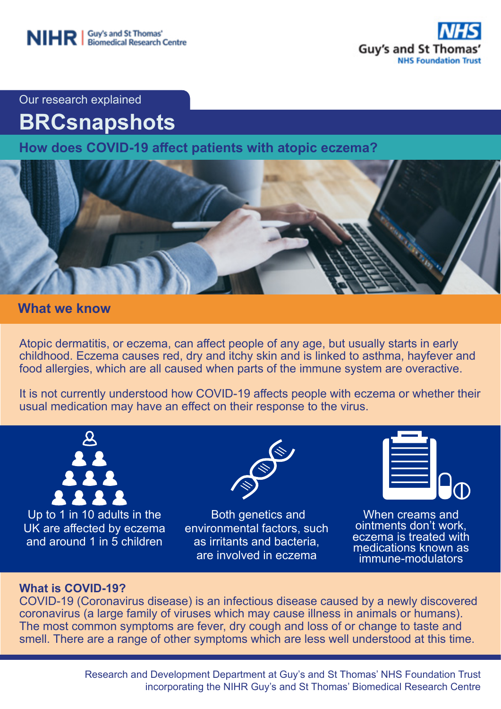

Our research explained

# **BRCsnapshots**

**How does COVID-19 affect patients with atopic eczema?**



## **What we know**

Atopic dermatitis, or eczema, can affect people of any age, but usually starts in early childhood. Eczema causes red, dry and itchy skin and is linked to asthma, hayfever and food allergies, which are all caused when parts of the immune system are overactive.

It is not currently understood how COVID-19 affects people with eczema or whether their usual medication may have an effect on their response to the virus.



Up to 1 in 10 adults in the UK are affected by eczema and around 1 in 5 children



 Both genetics and environmental factors, such as irritants and bacteria, are involved in eczema



When creams and ointments don't work, eczema is treated with medications known as immune-modulators

### **What is COVID-19?**

COVID-19 (Coronavirus disease) is an infectious disease caused by a newly discovered coronavirus (a large family of viruses which may cause illness in animals or humans). The most common symptoms are fever, dry cough and loss of or change to taste and smell. There are a range of other symptoms which are less well understood at this time.

> Research and Development Department at Guy's and St Thomas' NHS Foundation Trust incorporating the NIHR Guy's and St Thomas' Biomedical Research Centre